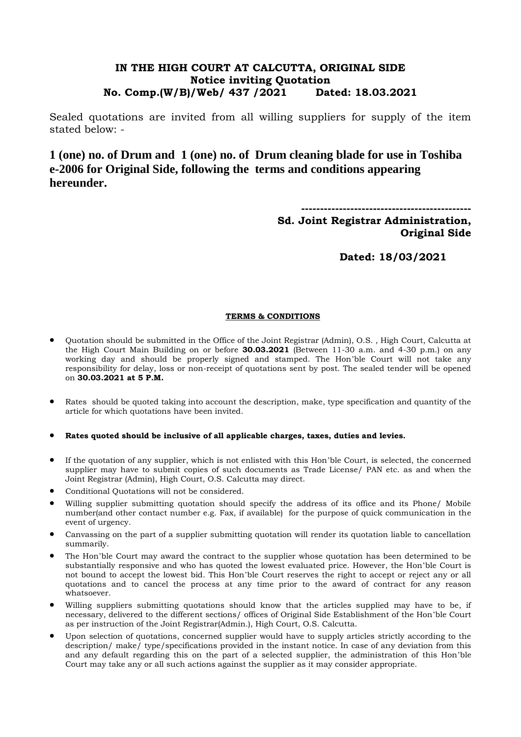## **IN THE HIGH COURT AT CALCUTTA, ORIGINAL SIDE Notice inviting Quotation No. Comp.(W/B)/Web/ 437 /2021 Dated: 18.03.2021**

Sealed quotations are invited from all willing suppliers for supply of the item stated below: -

**1 (one) no. of Drum and 1 (one) no. of Drum cleaning blade for use in Toshiba e-2006 for Original Side, following the terms and conditions appearing hereunder.**

**---------------------------------------------**

**Sd. Joint Registrar Administration, Original Side** 

**Dated: 18/03/2021**

### **TERMS & CONDITIONS**

- Quotation should be submitted in the Office of the Joint Registrar (Admin), O.S. , High Court, Calcutta at the High Court Main Building on or before **30.03.2021** (Between 11-30 a.m. and 4-30 p.m.) on any working day and should be properly signed and stamped. The Hon'ble Court will not take any responsibility for delay, loss or non-receipt of quotations sent by post. The sealed tender will be opened on **30.03.2021 at 5 P.M.**
- Rates should be quoted taking into account the description, make, type specification and quantity of the article for which quotations have been invited.
- **Rates quoted should be inclusive of all applicable charges, taxes, duties and levies.**
- If the quotation of any supplier, which is not enlisted with this Hon'ble Court, is selected, the concerned supplier may have to submit copies of such documents as Trade License/ PAN etc. as and when the Joint Registrar (Admin), High Court, O.S. Calcutta may direct.
- Conditional Quotations will not be considered.
- Willing supplier submitting quotation should specify the address of its office and its Phone/ Mobile number(and other contact number e.g. Fax, if available) for the purpose of quick communication in the event of urgency.
- Canvassing on the part of a supplier submitting quotation will render its quotation liable to cancellation summarily.
- The Hon'ble Court may award the contract to the supplier whose quotation has been determined to be substantially responsive and who has quoted the lowest evaluated price. However, the Hon'ble Court is not bound to accept the lowest bid. This Hon'ble Court reserves the right to accept or reject any or all quotations and to cancel the process at any time prior to the award of contract for any reason whatsoever.
- Willing suppliers submitting quotations should know that the articles supplied may have to be, if necessary, delivered to the different sections/ offices of Original Side Establishment of the Hon'ble Court as per instruction of the Joint Registrar(Admin.), High Court, O.S. Calcutta.
- Upon selection of quotations, concerned supplier would have to supply articles strictly according to the description/ make/ type/specifications provided in the instant notice. In case of any deviation from this and any default regarding this on the part of a selected supplier, the administration of this Hon'ble Court may take any or all such actions against the supplier as it may consider appropriate.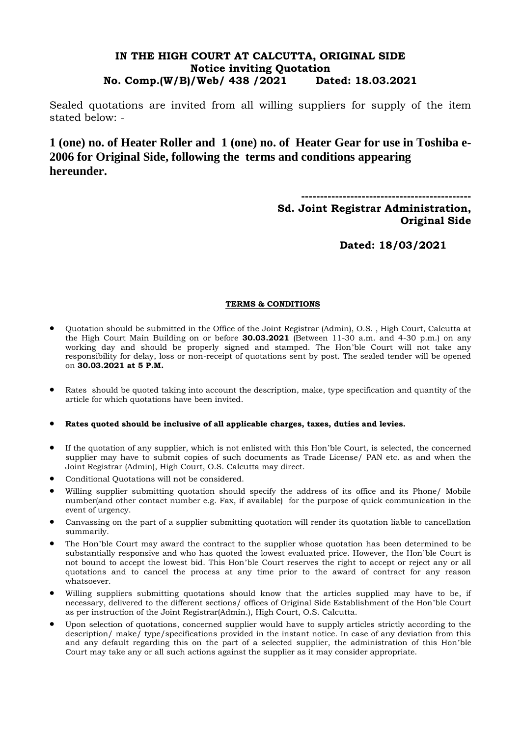### **IN THE HIGH COURT AT CALCUTTA, ORIGINAL SIDE Notice inviting Quotation No. Comp.(W/B)/Web/ 438 /2021 Dated: 18.03.2021**

Sealed quotations are invited from all willing suppliers for supply of the item stated below: -

**1 (one) no. of Heater Roller and 1 (one) no. of Heater Gear for use in Toshiba e-2006 for Original Side, following the terms and conditions appearing hereunder.**

**---------------------------------------------**

## **Sd. Joint Registrar Administration, Original Side**

**Dated: 18/03/2021**

### **TERMS & CONDITIONS**

- Quotation should be submitted in the Office of the Joint Registrar (Admin), O.S. , High Court, Calcutta at the High Court Main Building on or before **30.03.2021** (Between 11-30 a.m. and 4-30 p.m.) on any working day and should be properly signed and stamped. The Hon'ble Court will not take any responsibility for delay, loss or non-receipt of quotations sent by post. The sealed tender will be opened on **30.03.2021 at 5 P.M.**
- Rates should be quoted taking into account the description, make, type specification and quantity of the article for which quotations have been invited.

#### **Rates quoted should be inclusive of all applicable charges, taxes, duties and levies.**

- If the quotation of any supplier, which is not enlisted with this Hon'ble Court, is selected, the concerned supplier may have to submit copies of such documents as Trade License/ PAN etc. as and when the Joint Registrar (Admin), High Court, O.S. Calcutta may direct.
- Conditional Quotations will not be considered.
- Willing supplier submitting quotation should specify the address of its office and its Phone/ Mobile number(and other contact number e.g. Fax, if available) for the purpose of quick communication in the event of urgency.
- Canvassing on the part of a supplier submitting quotation will render its quotation liable to cancellation summarily.
- The Hon'ble Court may award the contract to the supplier whose quotation has been determined to be substantially responsive and who has quoted the lowest evaluated price. However, the Hon'ble Court is not bound to accept the lowest bid. This Hon'ble Court reserves the right to accept or reject any or all quotations and to cancel the process at any time prior to the award of contract for any reason whatsoever.
- Willing suppliers submitting quotations should know that the articles supplied may have to be, if necessary, delivered to the different sections/ offices of Original Side Establishment of the Hon'ble Court as per instruction of the Joint Registrar(Admin.), High Court, O.S. Calcutta.
- Upon selection of quotations, concerned supplier would have to supply articles strictly according to the description/ make/ type/specifications provided in the instant notice. In case of any deviation from this and any default regarding this on the part of a selected supplier, the administration of this Hon'ble Court may take any or all such actions against the supplier as it may consider appropriate.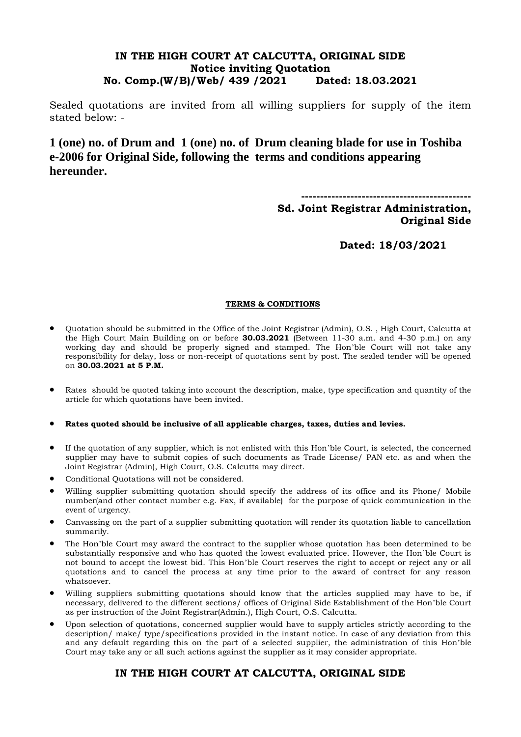### **IN THE HIGH COURT AT CALCUTTA, ORIGINAL SIDE Notice inviting Quotation No. Comp.(W/B)/Web/ 439 /2021 Dated: 18.03.2021**

Sealed quotations are invited from all willing suppliers for supply of the item stated below: -

**1 (one) no. of Drum and 1 (one) no. of Drum cleaning blade for use in Toshiba e-2006 for Original Side, following the terms and conditions appearing hereunder.**

**---------------------------------------------**

**Sd. Joint Registrar Administration, Original Side** 

**Dated: 18/03/2021**

#### **TERMS & CONDITIONS**

- Quotation should be submitted in the Office of the Joint Registrar (Admin), O.S. , High Court, Calcutta at the High Court Main Building on or before **30.03.2021** (Between 11-30 a.m. and 4-30 p.m.) on any working day and should be properly signed and stamped. The Hon'ble Court will not take any responsibility for delay, loss or non-receipt of quotations sent by post. The sealed tender will be opened on **30.03.2021 at 5 P.M.**
- Rates should be quoted taking into account the description, make, type specification and quantity of the article for which quotations have been invited.

**Rates quoted should be inclusive of all applicable charges, taxes, duties and levies.**

- If the quotation of any supplier, which is not enlisted with this Hon'ble Court, is selected, the concerned supplier may have to submit copies of such documents as Trade License/ PAN etc. as and when the Joint Registrar (Admin), High Court, O.S. Calcutta may direct.
- Conditional Quotations will not be considered.
- Willing supplier submitting quotation should specify the address of its office and its Phone/ Mobile number(and other contact number e.g. Fax, if available) for the purpose of quick communication in the event of urgency.
- Canvassing on the part of a supplier submitting quotation will render its quotation liable to cancellation summarily.
- The Hon'ble Court may award the contract to the supplier whose quotation has been determined to be substantially responsive and who has quoted the lowest evaluated price. However, the Hon'ble Court is not bound to accept the lowest bid. This Hon'ble Court reserves the right to accept or reject any or all quotations and to cancel the process at any time prior to the award of contract for any reason whatsoever.
- Willing suppliers submitting quotations should know that the articles supplied may have to be, if necessary, delivered to the different sections/ offices of Original Side Establishment of the Hon'ble Court as per instruction of the Joint Registrar(Admin.), High Court, O.S. Calcutta.
- Upon selection of quotations, concerned supplier would have to supply articles strictly according to the description/ make/ type/specifications provided in the instant notice. In case of any deviation from this and any default regarding this on the part of a selected supplier, the administration of this Hon'ble Court may take any or all such actions against the supplier as it may consider appropriate.

# **IN THE HIGH COURT AT CALCUTTA, ORIGINAL SIDE**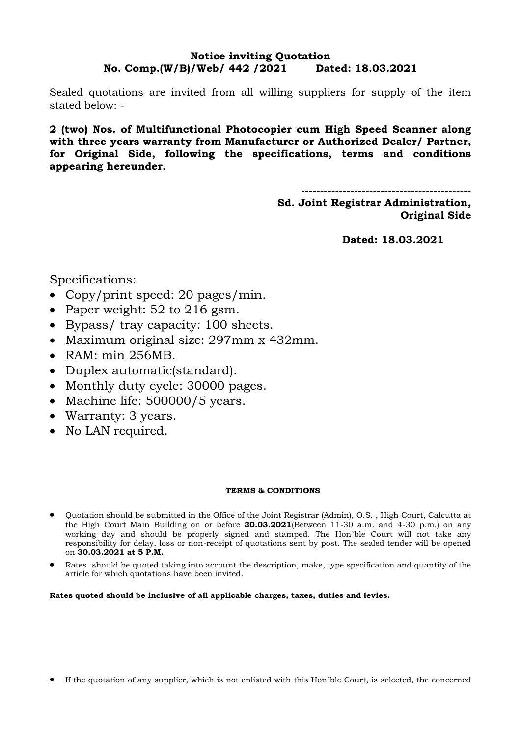### **Notice inviting Quotation No. Comp.(W/B)/Web/ 442 /2021 Dated: 18.03.2021**

Sealed quotations are invited from all willing suppliers for supply of the item stated below: -

**2 (two) Nos. of Multifunctional Photocopier cum High Speed Scanner along with three years warranty from Manufacturer or Authorized Dealer/ Partner, for Original Side, following the specifications, terms and conditions appearing hereunder.**

**---------------------------------------------**

**Sd. Joint Registrar Administration, Original Side** 

**Dated: 18.03.2021**

Specifications:

- Copy/print speed: 20 pages/min.
- Paper weight:  $52$  to  $216$  gsm.
- Bypass/ tray capacity: 100 sheets.
- Maximum original size: 297mm x 432mm.
- RAM: min 256MB.
- Duplex automatic (standard).
- Monthly duty cycle: 30000 pages.
- Machine life: 500000/5 years.
- Warranty: 3 years.
- No LAN required.

#### **TERMS & CONDITIONS**

- Quotation should be submitted in the Office of the Joint Registrar (Admin), O.S. , High Court, Calcutta at the High Court Main Building on or before **30.03.2021**(Between 11-30 a.m. and 4-30 p.m.) on any working day and should be properly signed and stamped. The Hon'ble Court will not take any responsibility for delay, loss or non-receipt of quotations sent by post. The sealed tender will be opened on **30.03.2021 at 5 P.M.**
- Rates should be quoted taking into account the description, make, type specification and quantity of the article for which quotations have been invited.

#### **Rates quoted should be inclusive of all applicable charges, taxes, duties and levies.**

If the quotation of any supplier, which is not enlisted with this Hon'ble Court, is selected, the concerned